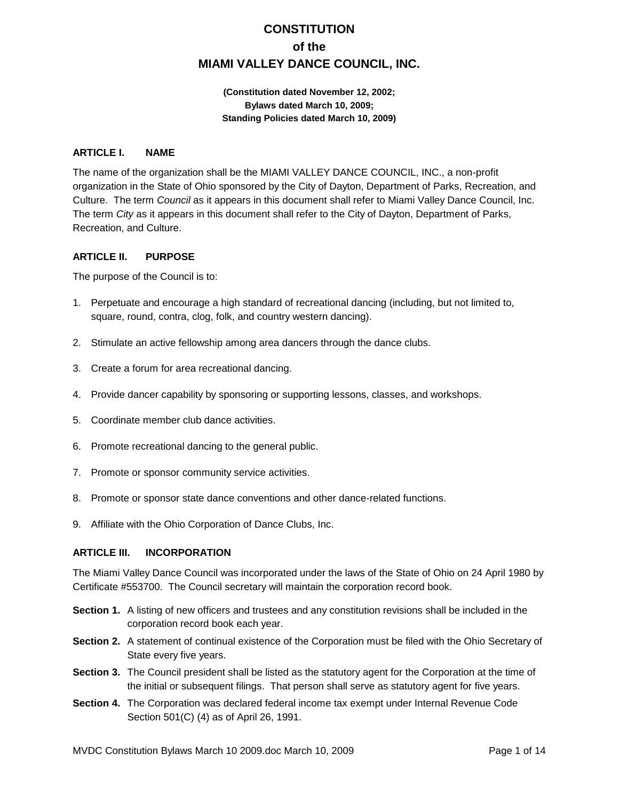# **CONSTITUTION of the MIAMI VALLEY DANCE COUNCIL, INC.**

## **(Constitution dated November 12, 2002; Bylaws dated March 10, 2009; Standing Policies dated March 10, 2009)**

### **ARTICLE I. NAME**

The name of the organization shall be the MIAMI VALLEY DANCE COUNCIL, INC., a non-profit organization in the State of Ohio sponsored by the City of Dayton, Department of Parks, Recreation, and Culture. The term *Council* as it appears in this document shall refer to Miami Valley Dance Council, Inc. The term *City* as it appears in this document shall refer to the City of Dayton, Department of Parks, Recreation, and Culture.

### **ARTICLE II. PURPOSE**

The purpose of the Council is to:

- 1. Perpetuate and encourage a high standard of recreational dancing (including, but not limited to, square, round, contra, clog, folk, and country western dancing).
- 2. Stimulate an active fellowship among area dancers through the dance clubs.
- 3. Create a forum for area recreational dancing.
- 4. Provide dancer capability by sponsoring or supporting lessons, classes, and workshops.
- 5. Coordinate member club dance activities.
- 6. Promote recreational dancing to the general public.
- 7. Promote or sponsor community service activities.
- 8. Promote or sponsor state dance conventions and other dance-related functions.
- 9. Affiliate with the Ohio Corporation of Dance Clubs, Inc.

#### **ARTICLE III. INCORPORATION**

The Miami Valley Dance Council was incorporated under the laws of the State of Ohio on 24 April 1980 by Certificate #553700. The Council secretary will maintain the corporation record book.

- **Section 1.** A listing of new officers and trustees and any constitution revisions shall be included in the corporation record book each year.
- **Section 2.** A statement of continual existence of the Corporation must be filed with the Ohio Secretary of State every five years.
- **Section 3.** The Council president shall be listed as the statutory agent for the Corporation at the time of the initial or subsequent filings. That person shall serve as statutory agent for five years.
- **Section 4.** The Corporation was declared federal income tax exempt under Internal Revenue Code Section 501(C) (4) as of April 26, 1991.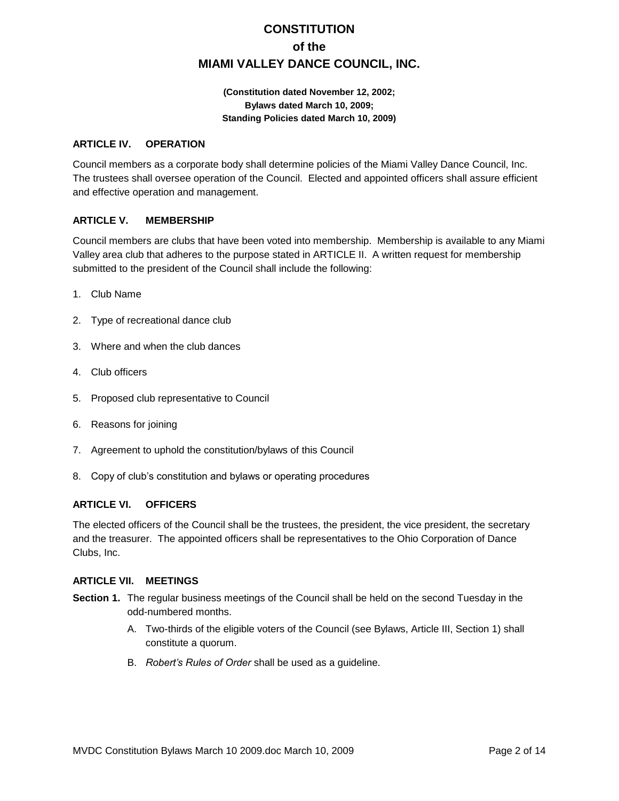# **CONSTITUTION of the MIAMI VALLEY DANCE COUNCIL, INC.**

## **(Constitution dated November 12, 2002; Bylaws dated March 10, 2009; Standing Policies dated March 10, 2009)**

#### **ARTICLE IV. OPERATION**

Council members as a corporate body shall determine policies of the Miami Valley Dance Council, Inc. The trustees shall oversee operation of the Council. Elected and appointed officers shall assure efficient and effective operation and management.

### **ARTICLE V. MEMBERSHIP**

Council members are clubs that have been voted into membership. Membership is available to any Miami Valley area club that adheres to the purpose stated in ARTICLE II. A written request for membership submitted to the president of the Council shall include the following:

- 1. Club Name
- 2. Type of recreational dance club
- 3. Where and when the club dances
- 4. Club officers
- 5. Proposed club representative to Council
- 6. Reasons for joining
- 7. Agreement to uphold the constitution/bylaws of this Council
- 8. Copy of club's constitution and bylaws or operating procedures

#### **ARTICLE VI. OFFICERS**

The elected officers of the Council shall be the trustees, the president, the vice president, the secretary and the treasurer. The appointed officers shall be representatives to the Ohio Corporation of Dance Clubs, Inc.

### **ARTICLE VII. MEETINGS**

- **Section 1.** The regular business meetings of the Council shall be held on the second Tuesday in the odd-numbered months.
	- A. Two-thirds of the eligible voters of the Council (see Bylaws, Article III, Section 1) shall constitute a quorum.
	- B. *Robert's Rules of Order* shall be used as a guideline.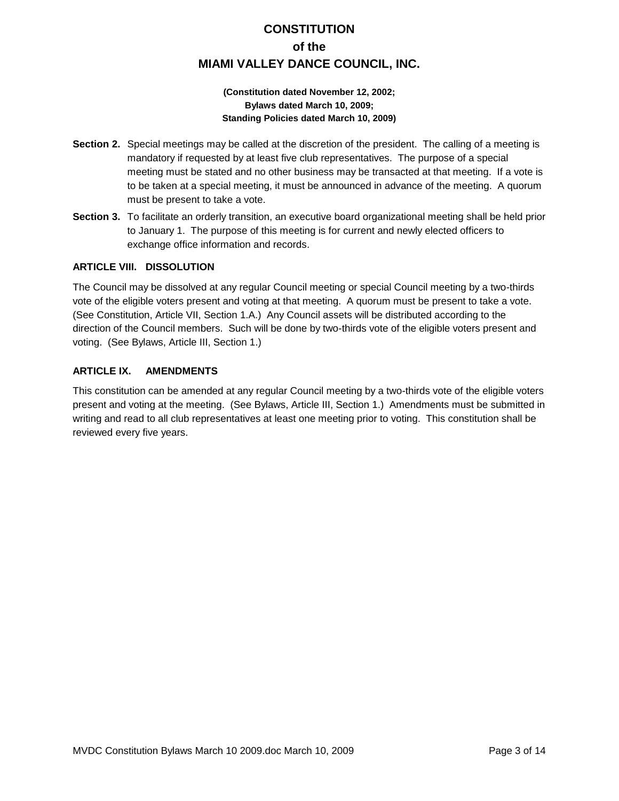# **CONSTITUTION of the MIAMI VALLEY DANCE COUNCIL, INC.**

## **(Constitution dated November 12, 2002; Bylaws dated March 10, 2009; Standing Policies dated March 10, 2009)**

- **Section 2.** Special meetings may be called at the discretion of the president. The calling of a meeting is mandatory if requested by at least five club representatives. The purpose of a special meeting must be stated and no other business may be transacted at that meeting. If a vote is to be taken at a special meeting, it must be announced in advance of the meeting. A quorum must be present to take a vote.
- **Section 3.** To facilitate an orderly transition, an executive board organizational meeting shall be held prior to January 1. The purpose of this meeting is for current and newly elected officers to exchange office information and records.

## **ARTICLE VIII. DISSOLUTION**

The Council may be dissolved at any regular Council meeting or special Council meeting by a two-thirds vote of the eligible voters present and voting at that meeting. A quorum must be present to take a vote. (See Constitution, Article VII, Section 1.A.) Any Council assets will be distributed according to the direction of the Council members. Such will be done by two-thirds vote of the eligible voters present and voting. (See Bylaws, Article III, Section 1.)

### **ARTICLE IX. AMENDMENTS**

This constitution can be amended at any regular Council meeting by a two-thirds vote of the eligible voters present and voting at the meeting. (See Bylaws, Article III, Section 1.) Amendments must be submitted in writing and read to all club representatives at least one meeting prior to voting. This constitution shall be reviewed every five years.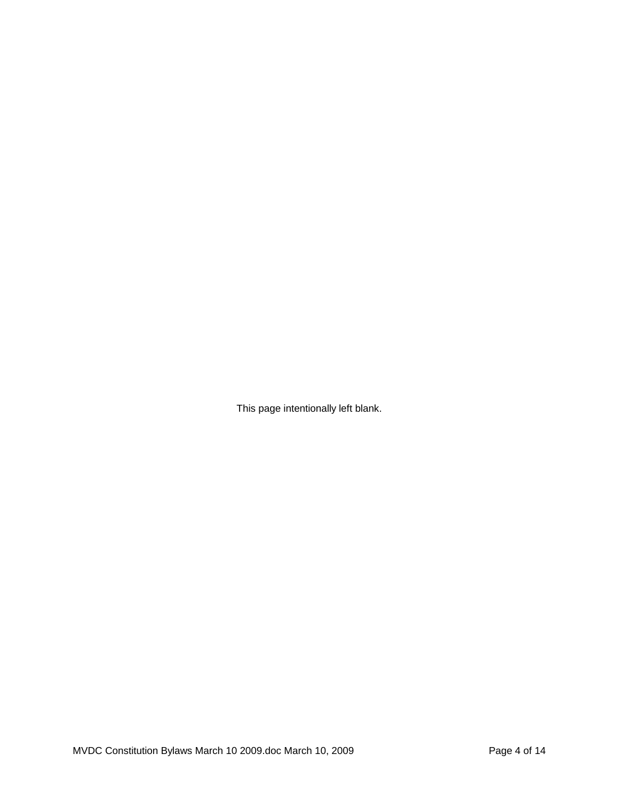This page intentionally left blank.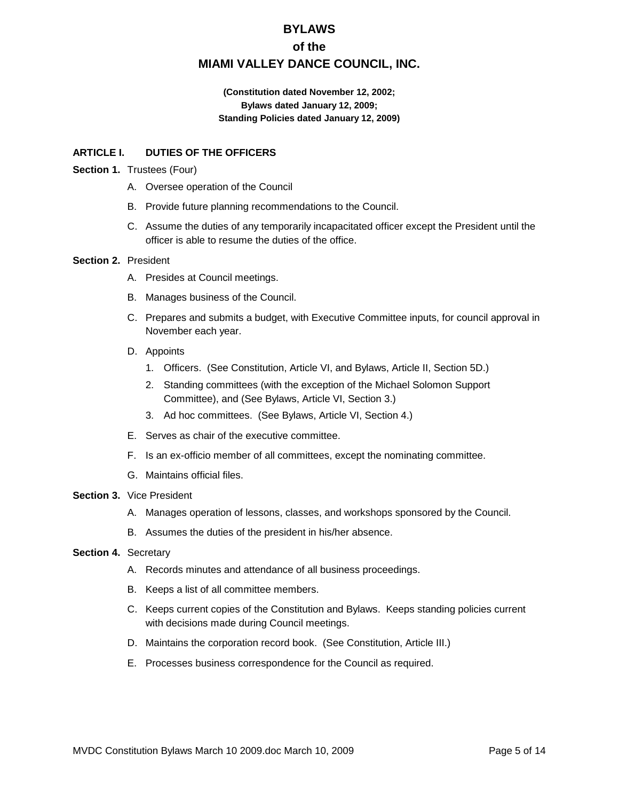## **(Constitution dated November 12, 2002; Bylaws dated January 12, 2009; Standing Policies dated January 12, 2009)**

### **ARTICLE I. DUTIES OF THE OFFICERS**

#### **Section 1.** Trustees (Four)

- A. Oversee operation of the Council
- B. Provide future planning recommendations to the Council.
- C. Assume the duties of any temporarily incapacitated officer except the President until the officer is able to resume the duties of the office.

#### **Section 2.** President

- A. Presides at Council meetings.
- B. Manages business of the Council.
- C. Prepares and submits a budget, with Executive Committee inputs, for council approval in November each year.
- D. Appoints
	- 1. Officers. (See Constitution, Article VI, and Bylaws, Article II, Section 5D.)
	- 2. Standing committees (with the exception of the Michael Solomon Support Committee), and (See Bylaws, Article VI, Section 3.)
	- 3. Ad hoc committees. (See Bylaws, Article VI, Section 4.)
- E. Serves as chair of the executive committee.
- F. Is an ex-officio member of all committees, except the nominating committee.
- G. Maintains official files.

### **Section 3.** Vice President

- A. Manages operation of lessons, classes, and workshops sponsored by the Council.
- B. Assumes the duties of the president in his/her absence.
- **Section 4.** Secretary
	- A. Records minutes and attendance of all business proceedings.
	- B. Keeps a list of all committee members.
	- C. Keeps current copies of the Constitution and Bylaws. Keeps standing policies current with decisions made during Council meetings.
	- D. Maintains the corporation record book. (See Constitution, Article III.)
	- E. Processes business correspondence for the Council as required.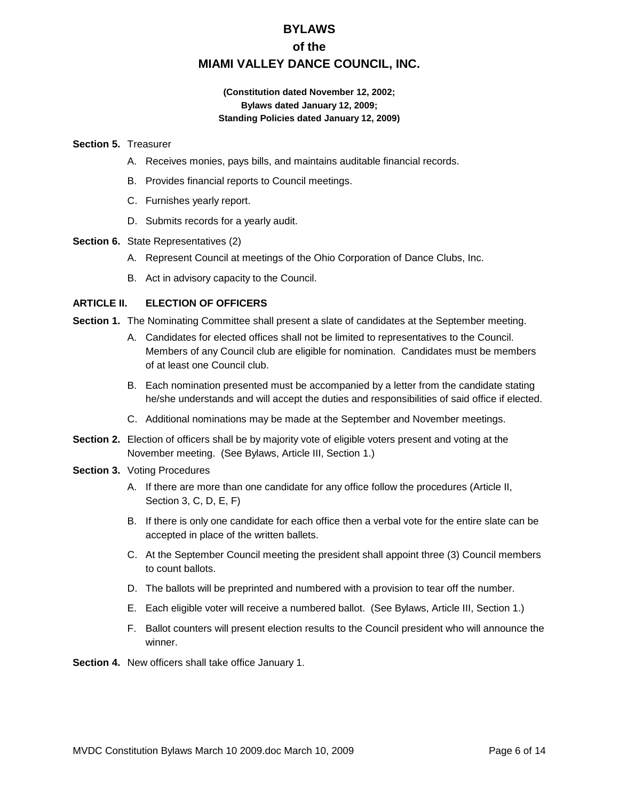## **(Constitution dated November 12, 2002; Bylaws dated January 12, 2009; Standing Policies dated January 12, 2009)**

### **Section 5.** Treasurer

- A. Receives monies, pays bills, and maintains auditable financial records.
- B. Provides financial reports to Council meetings.
- C. Furnishes yearly report.
- D. Submits records for a yearly audit.

#### **Section 6.** State Representatives (2)

- A. Represent Council at meetings of the Ohio Corporation of Dance Clubs, Inc.
- B. Act in advisory capacity to the Council.

### **ARTICLE II. ELECTION OF OFFICERS**

- **Section 1.** The Nominating Committee shall present a slate of candidates at the September meeting.
	- A. Candidates for elected offices shall not be limited to representatives to the Council. Members of any Council club are eligible for nomination. Candidates must be members of at least one Council club.
	- B. Each nomination presented must be accompanied by a letter from the candidate stating he/she understands and will accept the duties and responsibilities of said office if elected.
	- C. Additional nominations may be made at the September and November meetings.
- **Section 2.** Election of officers shall be by majority vote of eligible voters present and voting at the November meeting. (See Bylaws, Article III, Section 1.)
- **Section 3.** Voting Procedures
	- A. If there are more than one candidate for any office follow the procedures (Article II, Section 3, C, D, E, F)
	- B. If there is only one candidate for each office then a verbal vote for the entire slate can be accepted in place of the written ballets.
	- C. At the September Council meeting the president shall appoint three (3) Council members to count ballots.
	- D. The ballots will be preprinted and numbered with a provision to tear off the number.
	- E. Each eligible voter will receive a numbered ballot. (See Bylaws, Article III, Section 1.)
	- F. Ballot counters will present election results to the Council president who will announce the winner.

**Section 4.** New officers shall take office January 1.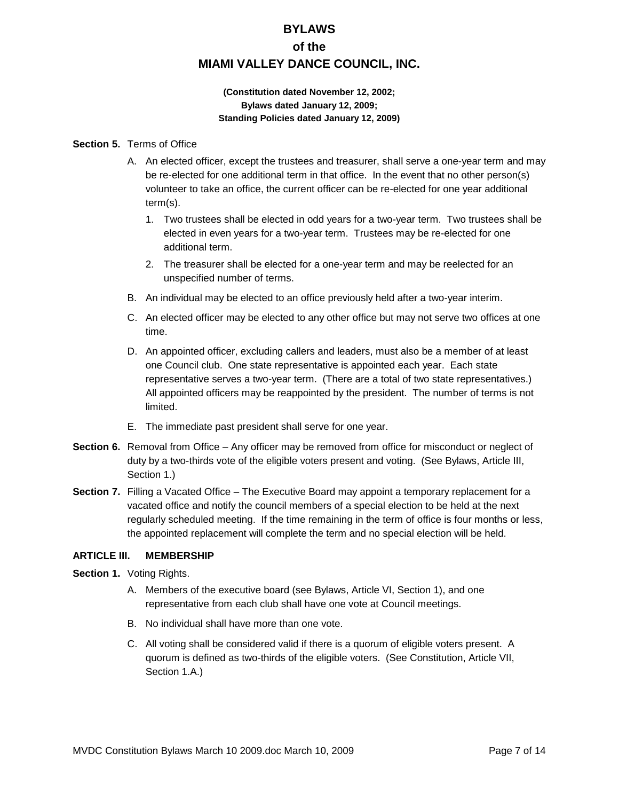## **(Constitution dated November 12, 2002; Bylaws dated January 12, 2009; Standing Policies dated January 12, 2009)**

#### **Section 5.** Terms of Office

- A. An elected officer, except the trustees and treasurer, shall serve a one-year term and may be re-elected for one additional term in that office. In the event that no other person(s) volunteer to take an office, the current officer can be re-elected for one year additional term(s).
	- 1. Two trustees shall be elected in odd years for a two-year term. Two trustees shall be elected in even years for a two-year term. Trustees may be re-elected for one additional term.
	- 2. The treasurer shall be elected for a one-year term and may be reelected for an unspecified number of terms.
- B. An individual may be elected to an office previously held after a two-year interim.
- C. An elected officer may be elected to any other office but may not serve two offices at one time.
- D. An appointed officer, excluding callers and leaders, must also be a member of at least one Council club. One state representative is appointed each year. Each state representative serves a two-year term. (There are a total of two state representatives.) All appointed officers may be reappointed by the president. The number of terms is not limited.
- E. The immediate past president shall serve for one year.
- **Section 6.** Removal from Office Any officer may be removed from office for misconduct or neglect of duty by a two-thirds vote of the eligible voters present and voting. (See Bylaws, Article III, Section 1.)
- **Section 7.** Filling a Vacated Office The Executive Board may appoint a temporary replacement for a vacated office and notify the council members of a special election to be held at the next regularly scheduled meeting. If the time remaining in the term of office is four months or less, the appointed replacement will complete the term and no special election will be held.

#### **ARTICLE III. MEMBERSHIP**

- **Section 1.** Voting Rights.
	- A. Members of the executive board (see Bylaws, Article VI, Section 1), and one representative from each club shall have one vote at Council meetings.
	- B. No individual shall have more than one vote.
	- C. All voting shall be considered valid if there is a quorum of eligible voters present. A quorum is defined as two-thirds of the eligible voters. (See Constitution, Article VII, Section 1.A.)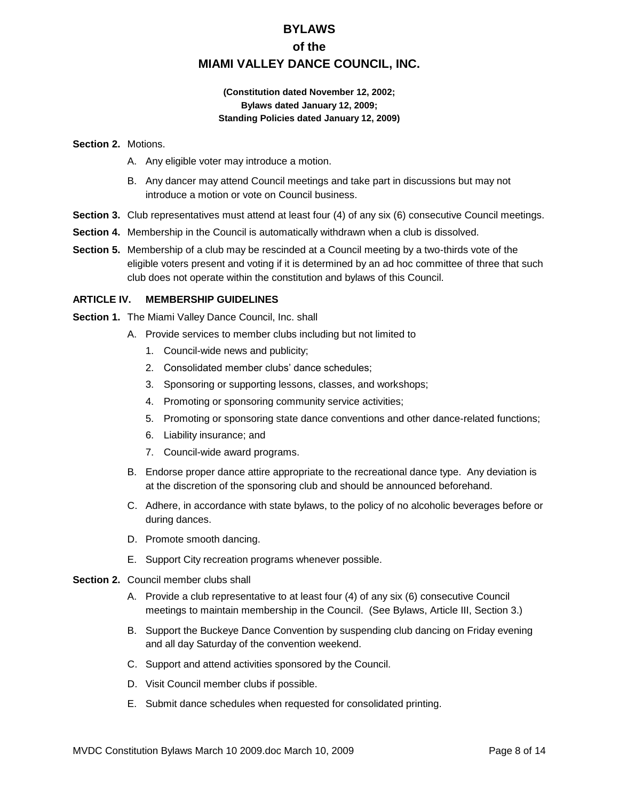## **(Constitution dated November 12, 2002; Bylaws dated January 12, 2009; Standing Policies dated January 12, 2009)**

#### **Section 2.** Motions.

- A. Any eligible voter may introduce a motion.
- B. Any dancer may attend Council meetings and take part in discussions but may not introduce a motion or vote on Council business.
- **Section 3.** Club representatives must attend at least four (4) of any six (6) consecutive Council meetings.
- **Section 4.** Membership in the Council is automatically withdrawn when a club is dissolved.
- **Section 5.** Membership of a club may be rescinded at a Council meeting by a two-thirds vote of the eligible voters present and voting if it is determined by an ad hoc committee of three that such club does not operate within the constitution and bylaws of this Council.

### **ARTICLE IV. MEMBERSHIP GUIDELINES**

- **Section 1.** The Miami Valley Dance Council, Inc. shall
	- A. Provide services to member clubs including but not limited to
		- 1. Council-wide news and publicity;
		- 2. Consolidated member clubs' dance schedules;
		- 3. Sponsoring or supporting lessons, classes, and workshops;
		- 4. Promoting or sponsoring community service activities;
		- 5. Promoting or sponsoring state dance conventions and other dance-related functions;
		- 6. Liability insurance; and
		- 7. Council-wide award programs.
	- B. Endorse proper dance attire appropriate to the recreational dance type. Any deviation is at the discretion of the sponsoring club and should be announced beforehand.
	- C. Adhere, in accordance with state bylaws, to the policy of no alcoholic beverages before or during dances.
	- D. Promote smooth dancing.
	- E. Support City recreation programs whenever possible.
- **Section 2.** Council member clubs shall
	- A. Provide a club representative to at least four (4) of any six (6) consecutive Council meetings to maintain membership in the Council. (See Bylaws, Article III, Section 3.)
	- B. Support the Buckeye Dance Convention by suspending club dancing on Friday evening and all day Saturday of the convention weekend.
	- C. Support and attend activities sponsored by the Council.
	- D. Visit Council member clubs if possible.
	- E. Submit dance schedules when requested for consolidated printing.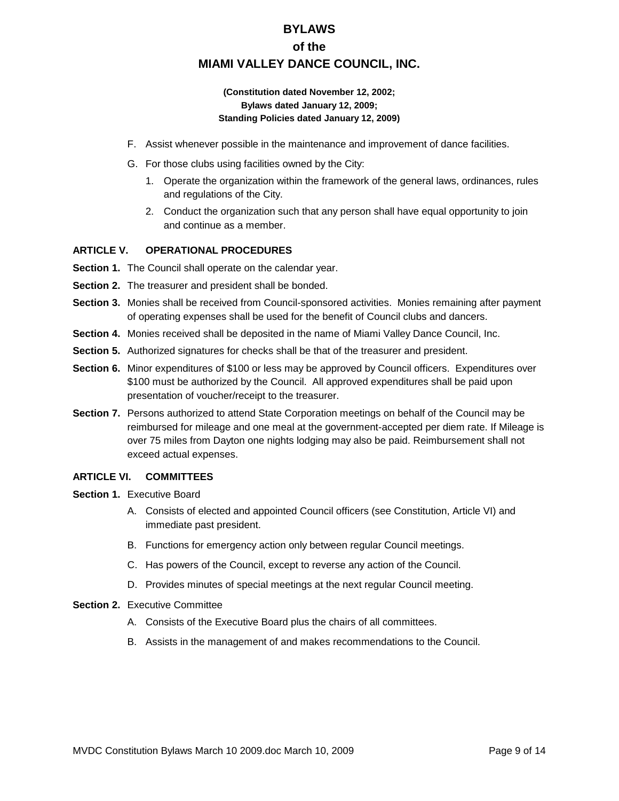# **BYLAWS**

# **of the MIAMI VALLEY DANCE COUNCIL, INC.**

# **(Constitution dated November 12, 2002; Bylaws dated January 12, 2009; Standing Policies dated January 12, 2009)**

- F. Assist whenever possible in the maintenance and improvement of dance facilities.
- G. For those clubs using facilities owned by the City:
	- 1. Operate the organization within the framework of the general laws, ordinances, rules and regulations of the City.
	- 2. Conduct the organization such that any person shall have equal opportunity to join and continue as a member.

## **ARTICLE V. OPERATIONAL PROCEDURES**

- **Section 1.** The Council shall operate on the calendar year.
- **Section 2.** The treasurer and president shall be bonded.
- **Section 3.** Monies shall be received from Council-sponsored activities. Monies remaining after payment of operating expenses shall be used for the benefit of Council clubs and dancers.
- **Section 4.** Monies received shall be deposited in the name of Miami Valley Dance Council, Inc.
- **Section 5.** Authorized signatures for checks shall be that of the treasurer and president.
- **Section 6.** Minor expenditures of \$100 or less may be approved by Council officers. Expenditures over \$100 must be authorized by the Council. All approved expenditures shall be paid upon presentation of voucher/receipt to the treasurer.
- **Section 7.** Persons authorized to attend State Corporation meetings on behalf of the Council may be reimbursed for mileage and one meal at the government-accepted per diem rate. If Mileage is over 75 miles from Dayton one nights lodging may also be paid. Reimbursement shall not exceed actual expenses.

## **ARTICLE VI. COMMITTEES**

- **Section 1.** Executive Board
	- A. Consists of elected and appointed Council officers (see Constitution, Article VI) and immediate past president.
	- B. Functions for emergency action only between regular Council meetings.
	- C. Has powers of the Council, except to reverse any action of the Council.
	- D. Provides minutes of special meetings at the next regular Council meeting.
- **Section 2.** Executive Committee
	- A. Consists of the Executive Board plus the chairs of all committees.
	- B. Assists in the management of and makes recommendations to the Council.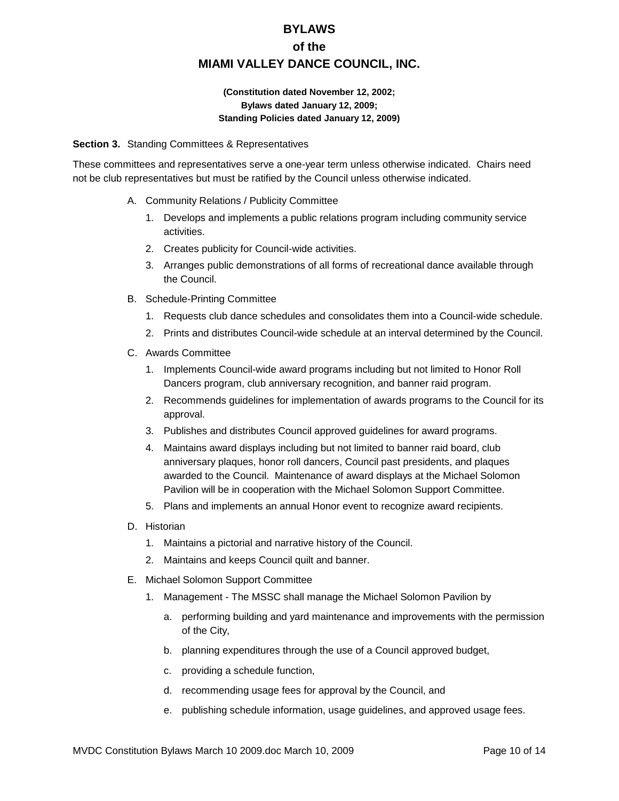## **(Constitution dated November 12, 2002; Bylaws dated January 12, 2009; Standing Policies dated January 12, 2009)**

#### **Section 3.** Standing Committees & Representatives

These committees and representatives serve a one-year term unless otherwise indicated. Chairs need not be club representatives but must be ratified by the Council unless otherwise indicated.

- A. Community Relations / Publicity Committee
	- 1. Develops and implements a public relations program including community service activities.
	- 2. Creates publicity for Council-wide activities.
	- 3. Arranges public demonstrations of all forms of recreational dance available through the Council.
- B. Schedule-Printing Committee
	- 1. Requests club dance schedules and consolidates them into a Council-wide schedule.
	- 2. Prints and distributes Council-wide schedule at an interval determined by the Council.
- C. Awards Committee
	- 1. Implements Council-wide award programs including but not limited to Honor Roll Dancers program, club anniversary recognition, and banner raid program.
	- 2. Recommends guidelines for implementation of awards programs to the Council for its approval.
	- 3. Publishes and distributes Council approved guidelines for award programs.
	- 4. Maintains award displays including but not limited to banner raid board, club anniversary plaques, honor roll dancers, Council past presidents, and plaques awarded to the Council. Maintenance of award displays at the Michael Solomon Pavilion will be in cooperation with the Michael Solomon Support Committee.
	- 5. Plans and implements an annual Honor event to recognize award recipients.
- D. Historian
	- 1. Maintains a pictorial and narrative history of the Council.
	- 2. Maintains and keeps Council quilt and banner.
- E. Michael Solomon Support Committee
	- 1. Management The MSSC shall manage the Michael Solomon Pavilion by
		- a. performing building and yard maintenance and improvements with the permission of the City,
		- b. planning expenditures through the use of a Council approved budget,
		- c. providing a schedule function,
		- d. recommending usage fees for approval by the Council, and
		- e. publishing schedule information, usage guidelines, and approved usage fees.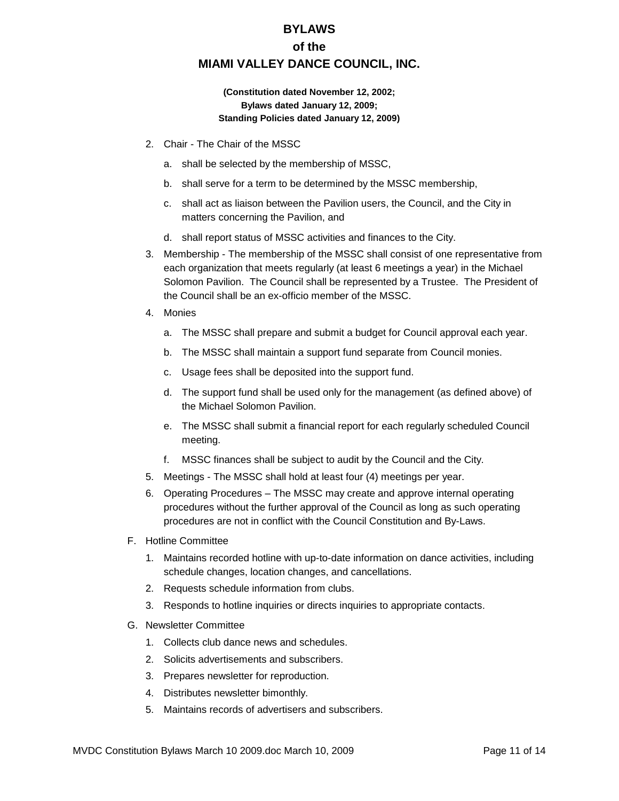## **BYLAWS**

# **of the MIAMI VALLEY DANCE COUNCIL, INC.**

## **(Constitution dated November 12, 2002; Bylaws dated January 12, 2009; Standing Policies dated January 12, 2009)**

- 2. Chair The Chair of the MSSC
	- a. shall be selected by the membership of MSSC,
	- b. shall serve for a term to be determined by the MSSC membership,
	- c. shall act as liaison between the Pavilion users, the Council, and the City in matters concerning the Pavilion, and
	- d. shall report status of MSSC activities and finances to the City.
- 3. Membership The membership of the MSSC shall consist of one representative from each organization that meets regularly (at least 6 meetings a year) in the Michael Solomon Pavilion. The Council shall be represented by a Trustee. The President of the Council shall be an ex-officio member of the MSSC.
- 4. Monies
	- a. The MSSC shall prepare and submit a budget for Council approval each year.
	- b. The MSSC shall maintain a support fund separate from Council monies.
	- c. Usage fees shall be deposited into the support fund.
	- d. The support fund shall be used only for the management (as defined above) of the Michael Solomon Pavilion.
	- e. The MSSC shall submit a financial report for each regularly scheduled Council meeting.
	- f. MSSC finances shall be subject to audit by the Council and the City.
- 5. Meetings The MSSC shall hold at least four (4) meetings per year.
- 6. Operating Procedures The MSSC may create and approve internal operating procedures without the further approval of the Council as long as such operating procedures are not in conflict with the Council Constitution and By-Laws.
- F. Hotline Committee
	- 1. Maintains recorded hotline with up-to-date information on dance activities, including schedule changes, location changes, and cancellations.
	- 2. Requests schedule information from clubs.
	- 3. Responds to hotline inquiries or directs inquiries to appropriate contacts.
- G. Newsletter Committee
	- 1. Collects club dance news and schedules.
	- 2. Solicits advertisements and subscribers.
	- 3. Prepares newsletter for reproduction.
	- 4. Distributes newsletter bimonthly.
	- 5. Maintains records of advertisers and subscribers.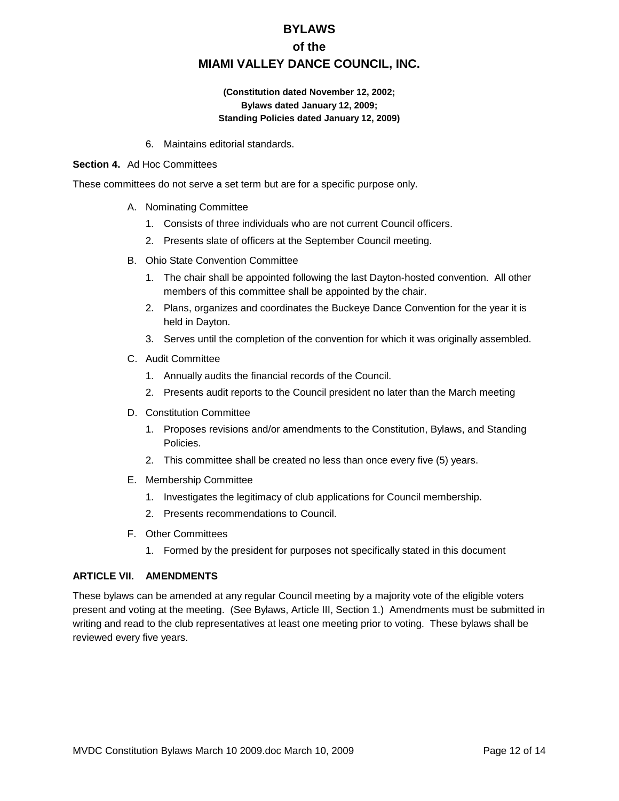## **BYLAWS**

# **of the MIAMI VALLEY DANCE COUNCIL, INC.**

## **(Constitution dated November 12, 2002; Bylaws dated January 12, 2009; Standing Policies dated January 12, 2009)**

6. Maintains editorial standards.

#### **Section 4.** Ad Hoc Committees

These committees do not serve a set term but are for a specific purpose only.

- A. Nominating Committee
	- 1. Consists of three individuals who are not current Council officers.
	- 2. Presents slate of officers at the September Council meeting.
- B. Ohio State Convention Committee
	- 1. The chair shall be appointed following the last Dayton-hosted convention. All other members of this committee shall be appointed by the chair.
	- 2. Plans, organizes and coordinates the Buckeye Dance Convention for the year it is held in Dayton.
	- 3. Serves until the completion of the convention for which it was originally assembled.
- C. Audit Committee
	- 1. Annually audits the financial records of the Council.
	- 2. Presents audit reports to the Council president no later than the March meeting
- D. Constitution Committee
	- 1. Proposes revisions and/or amendments to the Constitution, Bylaws, and Standing Policies.
	- 2. This committee shall be created no less than once every five (5) years.
- E. Membership Committee
	- 1. Investigates the legitimacy of club applications for Council membership.
	- 2. Presents recommendations to Council.
- F. Other Committees
	- 1. Formed by the president for purposes not specifically stated in this document

#### **ARTICLE VII. AMENDMENTS**

These bylaws can be amended at any regular Council meeting by a majority vote of the eligible voters present and voting at the meeting. (See Bylaws, Article III, Section 1.) Amendments must be submitted in writing and read to the club representatives at least one meeting prior to voting. These bylaws shall be reviewed every five years.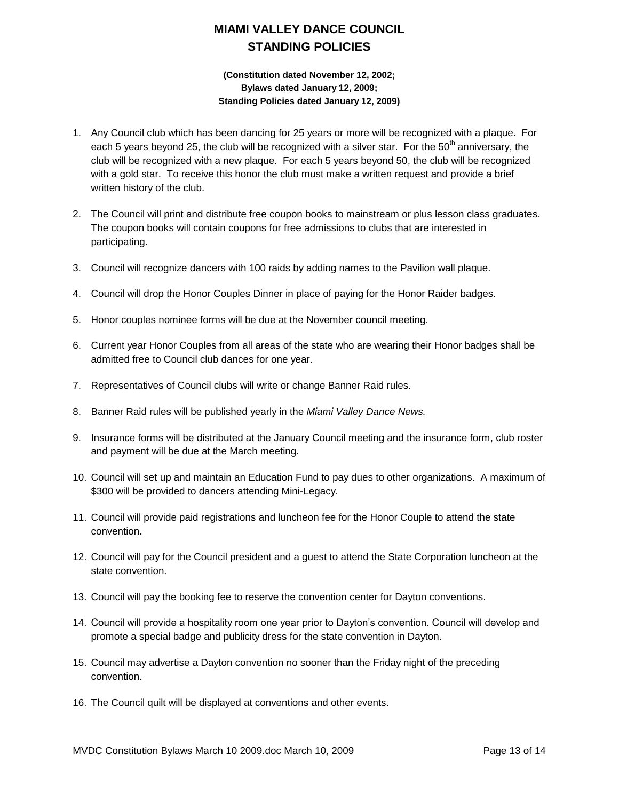# **MIAMI VALLEY DANCE COUNCIL STANDING POLICIES**

## **(Constitution dated November 12, 2002; Bylaws dated January 12, 2009; Standing Policies dated January 12, 2009)**

- 1. Any Council club which has been dancing for 25 years or more will be recognized with a plaque. For each 5 years beyond 25, the club will be recognized with a silver star. For the 50<sup>th</sup> anniversary, the club will be recognized with a new plaque. For each 5 years beyond 50, the club will be recognized with a gold star. To receive this honor the club must make a written request and provide a brief written history of the club.
- 2. The Council will print and distribute free coupon books to mainstream or plus lesson class graduates. The coupon books will contain coupons for free admissions to clubs that are interested in participating.
- 3. Council will recognize dancers with 100 raids by adding names to the Pavilion wall plaque.
- 4. Council will drop the Honor Couples Dinner in place of paying for the Honor Raider badges.
- 5. Honor couples nominee forms will be due at the November council meeting.
- 6. Current year Honor Couples from all areas of the state who are wearing their Honor badges shall be admitted free to Council club dances for one year.
- 7. Representatives of Council clubs will write or change Banner Raid rules.
- 8. Banner Raid rules will be published yearly in the *Miami Valley Dance News.*
- 9. Insurance forms will be distributed at the January Council meeting and the insurance form, club roster and payment will be due at the March meeting.
- 10. Council will set up and maintain an Education Fund to pay dues to other organizations. A maximum of \$300 will be provided to dancers attending Mini-Legacy.
- 11. Council will provide paid registrations and luncheon fee for the Honor Couple to attend the state convention.
- 12. Council will pay for the Council president and a guest to attend the State Corporation luncheon at the state convention.
- 13. Council will pay the booking fee to reserve the convention center for Dayton conventions.
- 14. Council will provide a hospitality room one year prior to Dayton's convention. Council will develop and promote a special badge and publicity dress for the state convention in Dayton.
- 15. Council may advertise a Dayton convention no sooner than the Friday night of the preceding convention.
- 16. The Council quilt will be displayed at conventions and other events.